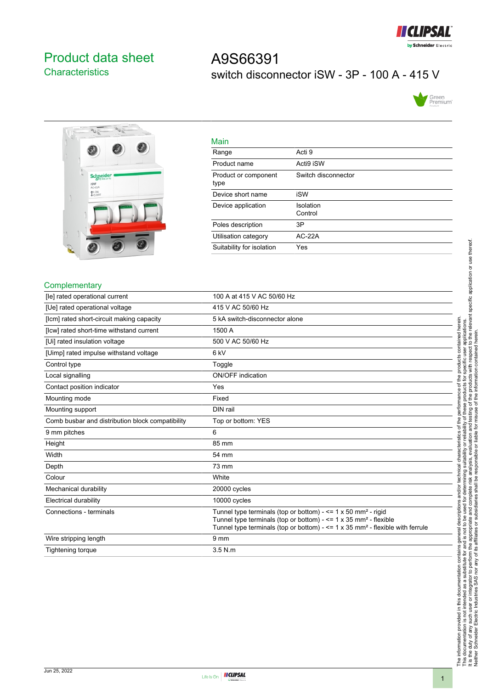

## <span id="page-0-0"></span>Product data sheet **Characteristics**

# A9S66391 switch disconnector iSW - 3P - 100 A - 415 V





| Main                         |                      |
|------------------------------|----------------------|
| Range                        | Acti 9               |
| Product name                 | Acti9 iSW            |
| Product or component<br>type | Switch disconnector  |
| Device short name            | iSW                  |
| Device application           | Isolation<br>Control |
| Poles description            | 3P                   |
| Utilisation category         | $AC-22A$             |
| Suitability for isolation    | Yes                  |

#### **Complementary**

| [le] rated operational current                   | 100 A at 415 V AC 50/60 Hz                                                                                                                                                                                                                                         |
|--------------------------------------------------|--------------------------------------------------------------------------------------------------------------------------------------------------------------------------------------------------------------------------------------------------------------------|
| [Ue] rated operational voltage                   | 415 V AC 50/60 Hz                                                                                                                                                                                                                                                  |
| [lcm] rated short-circuit making capacity        | 5 kA switch-disconnector alone                                                                                                                                                                                                                                     |
| [Icw] rated short-time withstand current         | 1500 A                                                                                                                                                                                                                                                             |
| [Ui] rated insulation voltage                    | 500 V AC 50/60 Hz                                                                                                                                                                                                                                                  |
| [Uimp] rated impulse withstand voltage           | 6 <sub>kV</sub>                                                                                                                                                                                                                                                    |
| Control type                                     | Toggle                                                                                                                                                                                                                                                             |
| Local signalling                                 | <b>ON/OFF</b> indication                                                                                                                                                                                                                                           |
| Contact position indicator                       | Yes                                                                                                                                                                                                                                                                |
| Mounting mode                                    | Fixed                                                                                                                                                                                                                                                              |
| Mounting support                                 | DIN rail                                                                                                                                                                                                                                                           |
| Comb busbar and distribution block compatibility | Top or bottom: YES                                                                                                                                                                                                                                                 |
| 9 mm pitches                                     | 6                                                                                                                                                                                                                                                                  |
| Height                                           | 85 mm                                                                                                                                                                                                                                                              |
| Width                                            | 54 mm                                                                                                                                                                                                                                                              |
| Depth                                            | 73 mm                                                                                                                                                                                                                                                              |
| Colour                                           | White                                                                                                                                                                                                                                                              |
| Mechanical durability                            | 20000 cycles                                                                                                                                                                                                                                                       |
| <b>Electrical durability</b>                     | 10000 cycles                                                                                                                                                                                                                                                       |
| Connections - terminals                          | Tunnel type terminals (top or bottom) - $\leq$ 1 x 50 mm <sup>2</sup> - rigid<br>Tunnel type terminals (top or bottom) - $\leq$ 1 x 35 mm <sup>2</sup> - flexible<br>Tunnel type terminals (top or bottom) - $\leq$ 1 x 35 mm <sup>2</sup> - flexible with ferrule |
| Wire stripping length                            | 9 <sub>mm</sub>                                                                                                                                                                                                                                                    |
| Tightening torque                                | $3.5$ N.m                                                                                                                                                                                                                                                          |